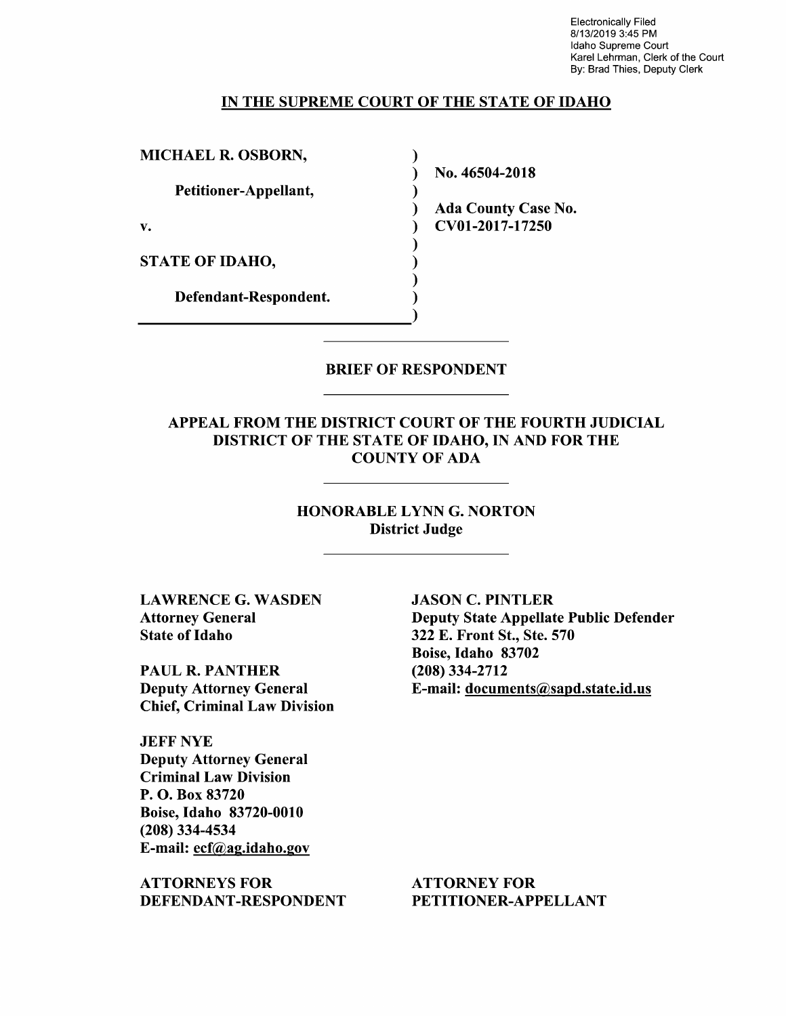Electronically Filed 8/1 3/2019 3:45 PM Idaho Supreme Court Karel Lehrman, Clerk of the Court By: Brad Thies, Deputy Clerk

### IN THE SUPREME COURT OF THE STATE OF IDAHO

 $\lambda$ ℩  $\mathbf{I}$  $\mathcal{E}$ 

MICHAEL R. OSBORN,

Petitioner-Appellant,

STATE OF IDAHO,

Defendant—Respondent.

N0. 46504-2018

Ada County Case N0. v. CV01-2017-17250

BRIEF OF RESPONDENT

APPEAL FROM THE DISTRICT COURT OF THE FOURTH JUDICIAL DISTRICT OF THE STATE OF IDAHO, IN AND FOR THE COUNTY OF ADA

> HONORABLE LYNN G. NORTON District Judge

LAWRENCE G. WASDEN Attorney General State of Idaho

PAUL R. PANTHER Deputy Attorney General Chief, Criminal Law Division

JEFF NYE Deputy Attorney General Criminal Law Division P. O. Box 83720 Boise, Idaho 83720-0010 (208) 334-4534 E-mail: ecf@ag.idaho.gov

ATTORNEYS FOR DEFENDANT-RESPONDENT JASON C. PINTLER Deputy State Appellate Public Defender 322 E. Front St., Ste. 570 Boise, Idaho 83702 (208) 334-2712 E-mail: documents@sapd.state.id.us

ATTORNEY FOR PETITIONER—APPELLANT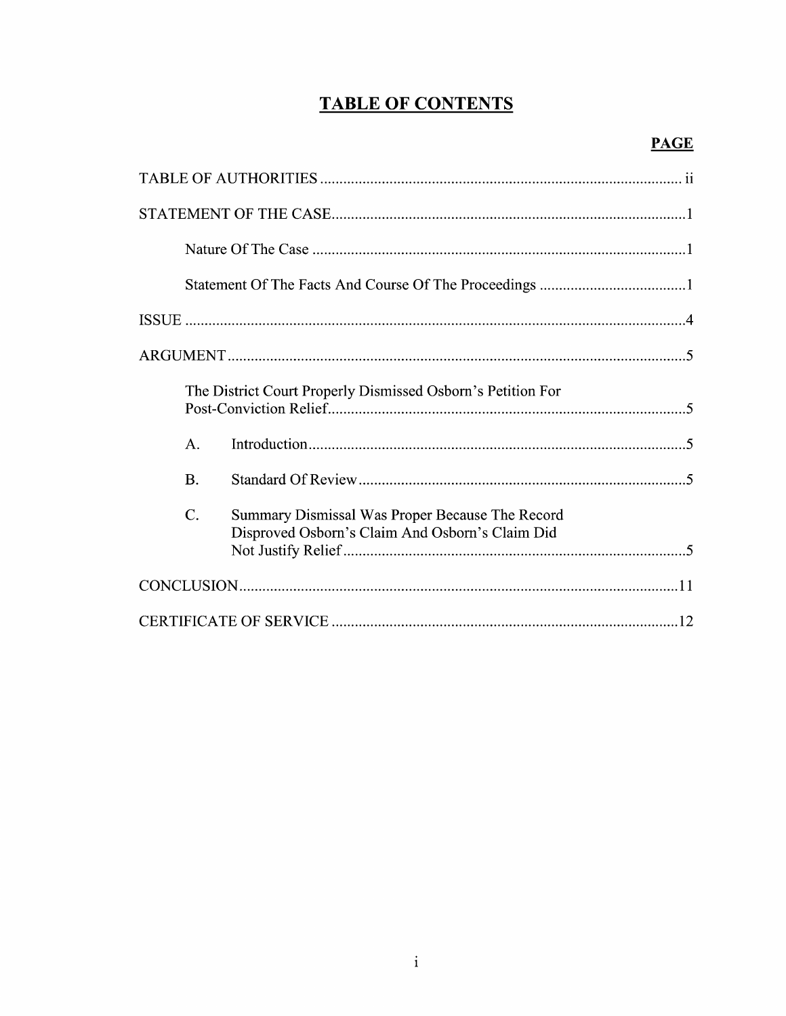# **TABLE OF CONTENTS**

| The District Court Properly Dismissed Osborn's Petition For |           |                                                                                                    |  |
|-------------------------------------------------------------|-----------|----------------------------------------------------------------------------------------------------|--|
|                                                             | A.        |                                                                                                    |  |
|                                                             | <b>B.</b> |                                                                                                    |  |
|                                                             | C.        | Summary Dismissal Was Proper Because The Record<br>Disproved Osborn's Claim And Osborn's Claim Did |  |
|                                                             |           |                                                                                                    |  |
|                                                             |           |                                                                                                    |  |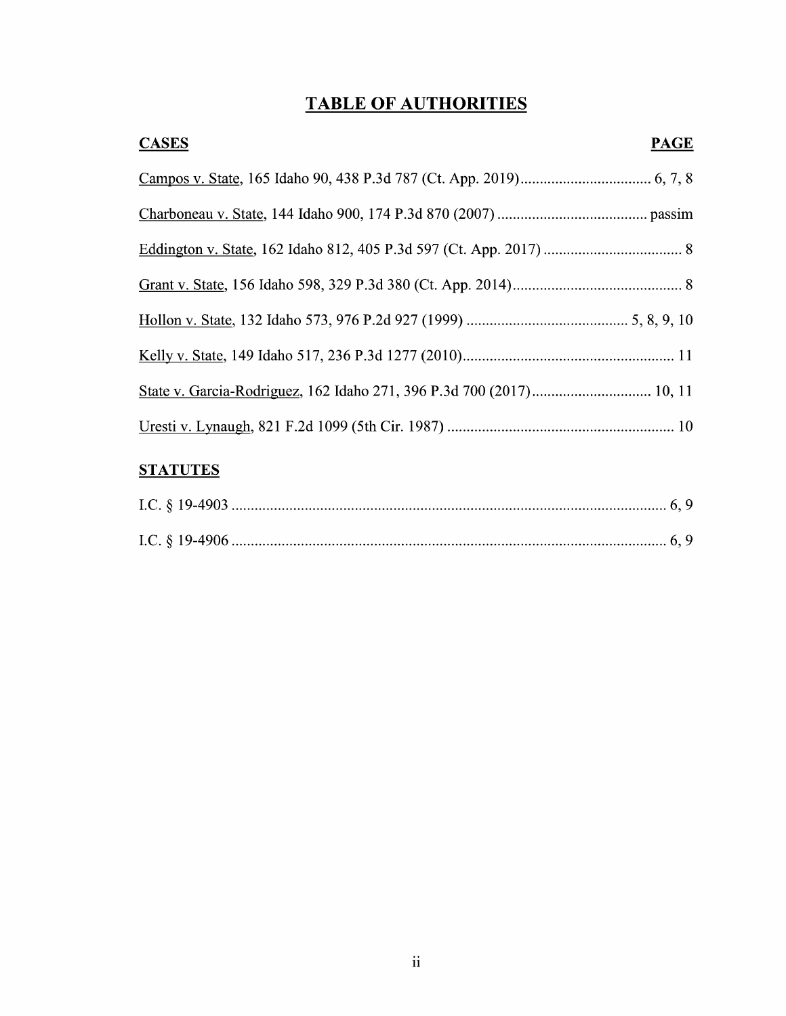# TABLE OF AUTHORITIES

| <b>CASES</b> | <b>PAGE</b> |
|--------------|-------------|
|              |             |
|              |             |
|              |             |
|              |             |
|              |             |
|              |             |
|              |             |
|              |             |

# **STATUTES**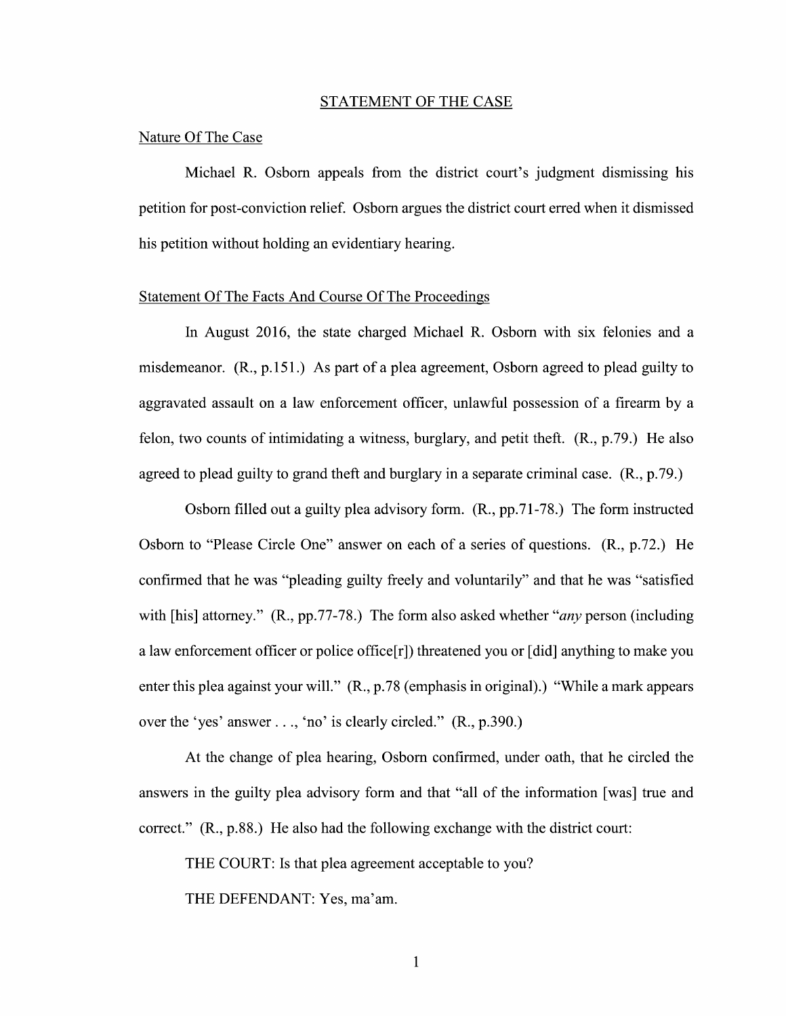#### STATEMENT OF THE CASE

## Nature Of The Case

Michael R. Osborn appeals from the district court's judgment dismissing his petition for post-conviction relief. Osborn argues the district court erred when it dismissed his petition Without holding an evidentiary hearing.

## Statement Of The Facts And Course Of The Proceedings

In August 2016, the state charged Michael R. Osborn with six felonies and a misdemeanor.  $(R., p.151.)$  As part of a plea agreement, Osborn agreed to plead guilty to aggravated assault on a law enforcement officer, unlawful possession of a firearm by a felon, two counts of intimidating a witness, burglary, and petit theft.  $(R., p.79.)$  He also agreed to plead guilty to grand theft and burglary in a separate criminal case.  $(R., p.79.)$ 

Osborn filled out a guilty plea advisory form.  $(R., pp.71-78.)$  The form instructed Osborn to "Please Circle One" answer on each of a series of questions. (R., p.72.) He confirmed that he was "pleading guilty freely and voluntarily" and that he was "satisfied with [his] attorney."  $(R., pp.77-78.)$  The form also asked whether "*any* person (including a law enforcement officer or police office[r]) threatened you or [did] anything to make you enter this plea against your will."  $(R., p.78$  (emphasis in original).) "While a mark appears over the 'yes' answer ..., 'no' is clearly circled." (R., p.390.)

At the change of plea hearing, Osborn confirmed, under oath, that he circled the answers in the guilty plea advisory form and that "all 0f the information [was] true and correct." (R., p.88.) He also had the following exchange with the district court:

THE COURT: Is that plea agreement acceptable to you?

THE DEFENDANT: Yes, ma'am.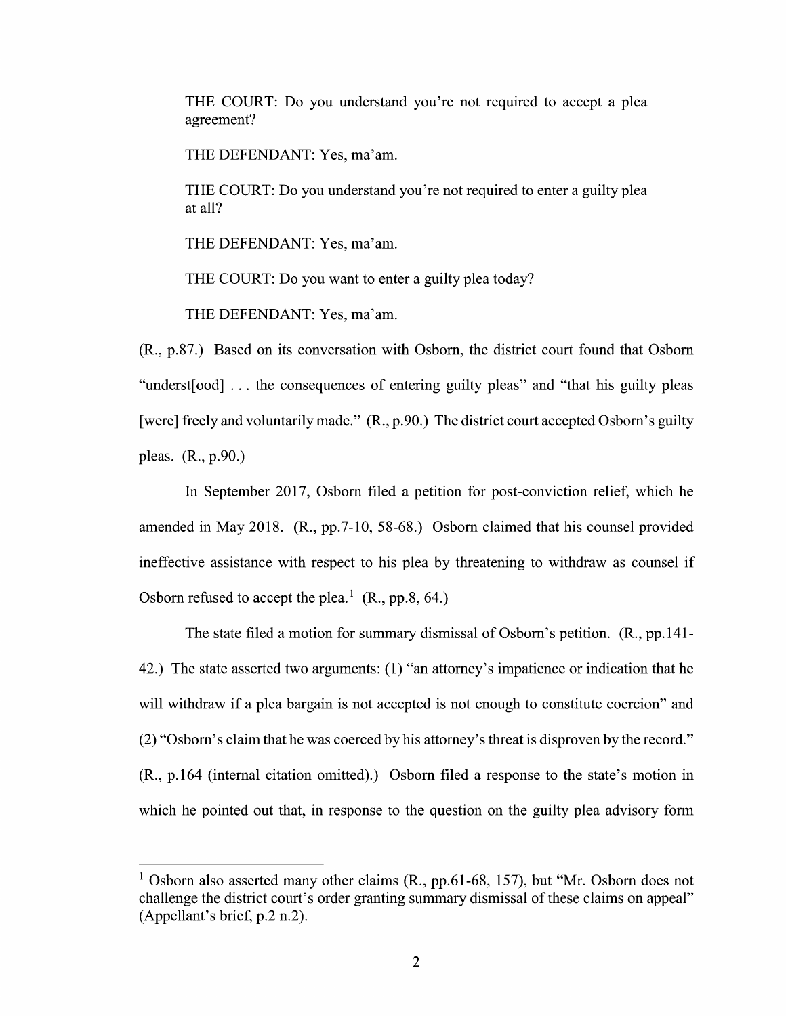THE COURT: Do you understand you're not required to accept a plea agreement?

THE DEFENDANT: Yes, ma'am.

THE COURT: Do you understand you're not required to enter a guilty plea at all?

THE DEFENDANT: Yes, ma'am.

THE COURT: Do you want to enter a guilty plea today?

THE DEFENDANT: Yes, ma'am.

(R., p.87.) Based 0n its conversation With Osborn, the district court found that Osborn "underst[ood] . . the consequences 0f entering guilty pleas" and "that his guilty pleas [were] freely and voluntarily made." (R., p.90.) The district court accepted Osborn's guilty pleas. (R., p.90.)

In September 2017, Osborn filed a petition for post-conviction relief, which he amended in May 2018. (R., pp.7-10, 58-68.) Osborn claimed that his counsel provided ineffective assistance with respect to his plea by threatening to withdraw as counsel if Osborn refused to accept the plea.<sup>1</sup> (R., pp.8, 64.)

The state filed motion for summary dismissal 0f Osborn's petition. (R., pp.141- 42.) The state asserted two arguments: (1) "an attorney's impatience 0r indication that he will withdraw if a plea bargain is not accepted is not enough to constitute coercion" and (2) "Osborn's claim that he was coerced by his attorney's threat is disproven by the record."  $(R., p.164$  (internal citation omitted).) Osborn filed a response to the state's motion in which he pointed out that, in response to the question on the guilty plea advisory form

<sup>&</sup>lt;sup>1</sup> Osborn also asserted many other claims  $(R., pp.61-68, 157)$ , but "Mr. Osborn does not challenge the district court's order granting summary dismissal 0f these claims on appeal" (Appellant's brief, p.2 n.2).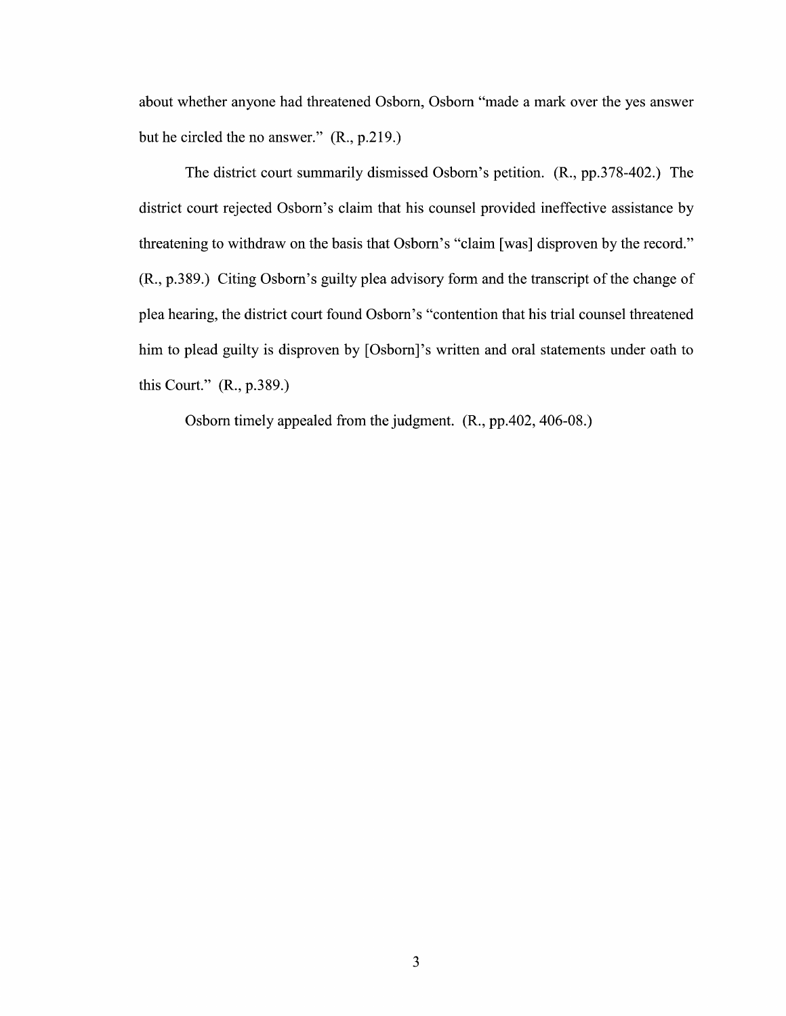about whether anyone had threatened Osborn, Osborn "made a mark over the yes answer but he circled the no answer." (R., p.219.)

The district court summarily dismissed Osborn's petition. (R., pp.378-402.) The district court rejected Osborn's claim that his counsel provided ineffective assistance by threatening to withdraw on the basis that Osborn's "claim [was] disproven by the record." (R., p.389.) Citing Osborn's guilty plea advisory form and the transcript of the change of plea hearing, the district court found Osborn's "contention that his trial counsel threatened him to plead guilty is disproven by [Osborn]'s written and oral statements under oath to this Court." (R., p.389.)

Osborn timely appealed from the judgment. (R., pp.402, 406-08.)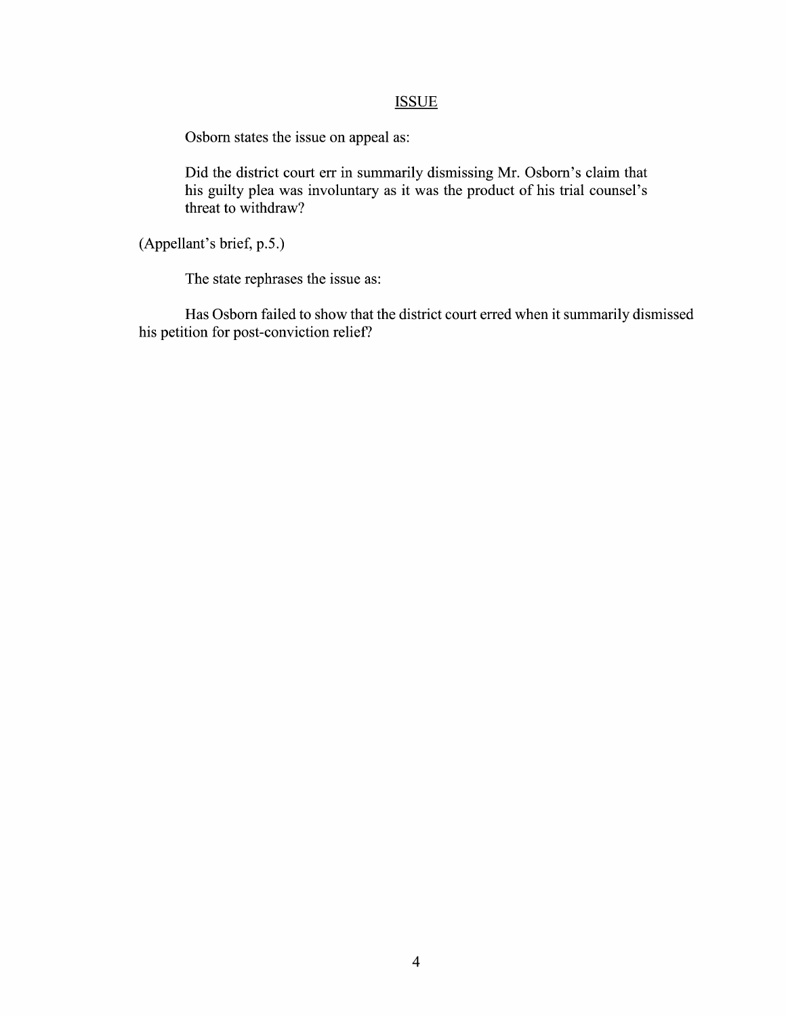# **ISSUE**

Osborn states the issue on appeal as:

Did the district court err in summarily dismissing Mr. Osborn's claim that his guilty plea was involuntary as it was the product of his trial counsel's threat to withdraw?

(Appellant's brief, p.5.)

The state rephrases the issue as:

Has Osborn failed to show that the district court erred when it summarily dismissed his petition for post-conviction relief?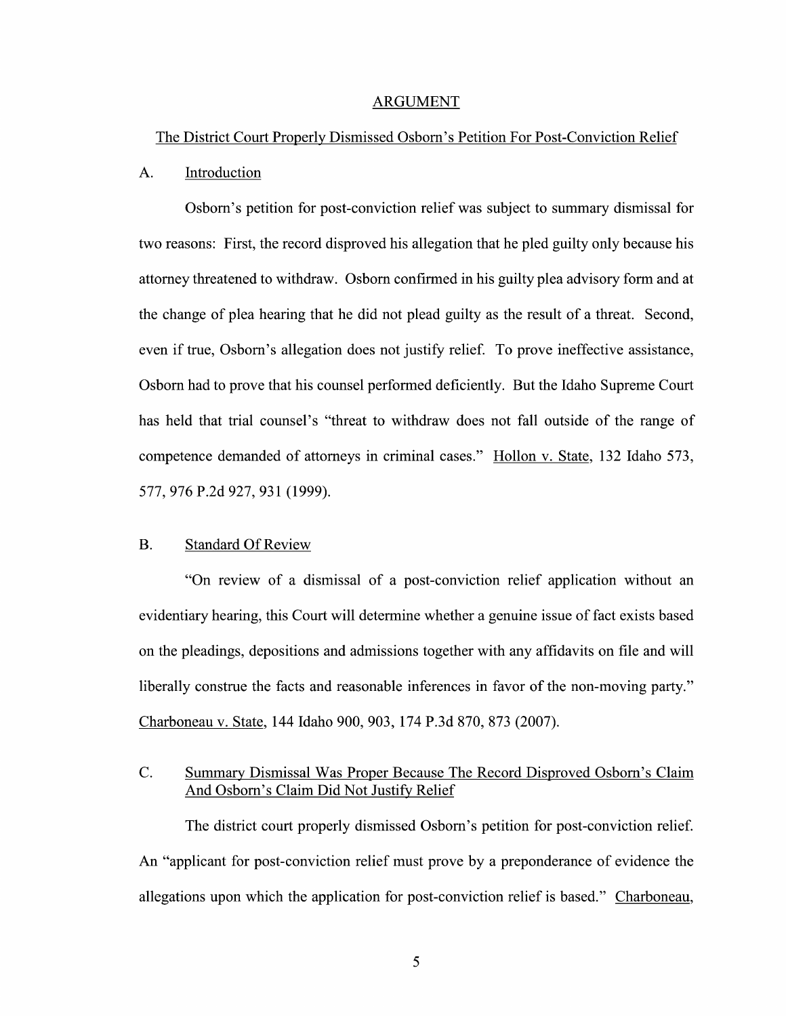#### ARGUMENT

#### The District Court Properly Dismissed Osborn's Petition For Post-Conviction Relief

### A. Introduction

Osborn's petition for post-conviction relief was subject to summary dismissal for two reasons: First, the record disproved his allegation that he pled guilty only because his attorney threatened to withdraw. Osborn confirmed in his guilty plea advisory form and at the change of plea hearing that he did not plead guilty as the result of a threat. Second, even if true, Osborn's allegation does not justify relief. To prove ineffective assistance, Osborn had t0 prove that his counsel performed deficiently. But the Idaho Supreme Court has held that trial counsel's "threat to withdraw does not fall outside of the range of competence demanded of attorneys in criminal cases." Hollon V. State, 132 Idaho 573, 577, 976 P.2d 927, 931 (1999).

## B. Standard Of Review

"On review of a dismissal of a post-conviction relief application without an evidentiary hearing, this Court will determine whether a genuine issue of fact exists based on the pleadings, depositions and admissions together with any affidavits on file and will liberally construe the facts and reasonable inferences in favor of the non-moving party." Charboneau V. State, <sup>144</sup> Idaho 900, 903, 174 P.3d 870, <sup>873</sup> (2007).

# C. Summary Dismissal Was Proper Because The Record Disproved Osborn's Claim And Osborn's Claim Did Not Justify Relief

The district court properly dismissed Osborn's petition for post-conviction relief. An "applicant for post-conviction relief must prove by a preponderance of evidence the allegations upon which the application for post-conviction relief is based." Charboneau,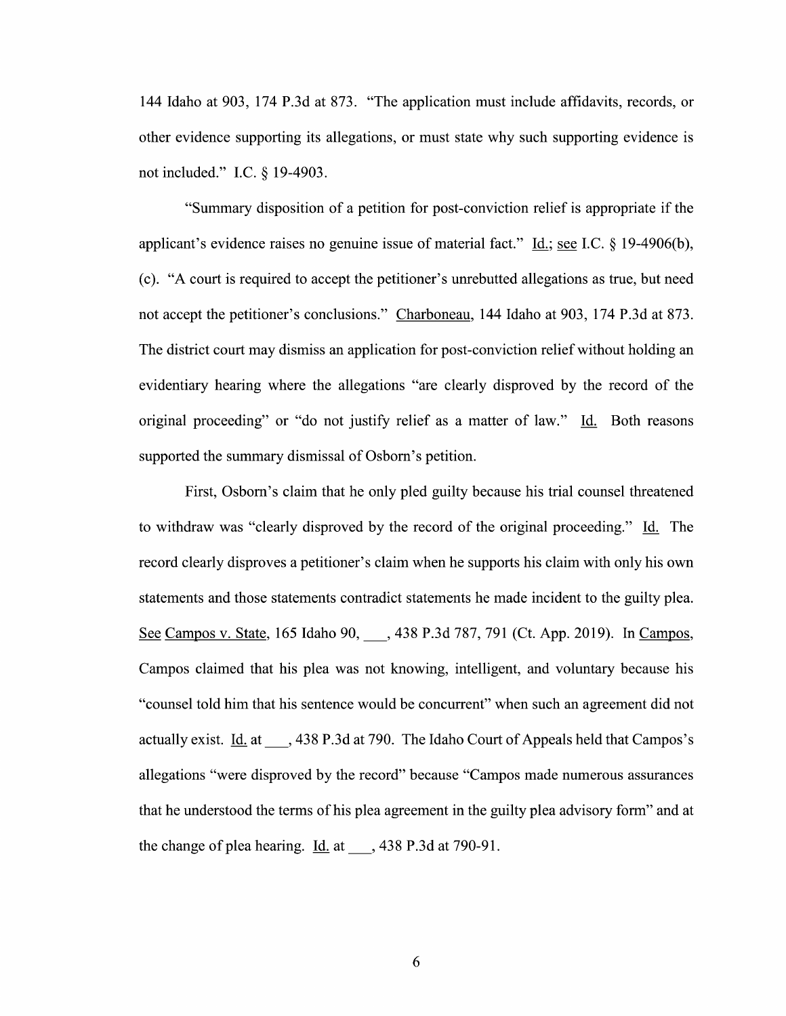144 Idaho at 903, 174 P.3d at 873. "The application must include affidavits, records, or other evidence supporting its allegations, or must state why such supporting evidence is not included." I.C. § 19-4903.

"Summary disposition of a petition for post-conviction relief is appropriate if the applicant's evidence raises no genuine issue of material fact." Id.; see I.C.  $\S$  19-4906(b), (c). "A court is required t0 accept the petitioner's unrebutted allegations as true, but need not accept the petitioner's conclusions." Charboneau, 144 Idaho at 903, 174 P.3d at 873. The district court may dismiss an application for post-conviction relief without holding an evidentiary hearing Where the allegations "are clearly disproved by the record 0f the original proceeding" or "do not justify relief as a matter of law." Id. Both reasons supported the summary dismissal 0f Osborn's petition.

First, Osborn's claim that he only pled guilty because his trial counsel threatened to withdraw was "clearly disproved by the record of the original proceeding." Id. The record clearly disproves a petitioner's claim when he supports his claim with only his own statements and those statements contradict statements he made incident to the guilty plea. See Campos v. State, 165 Idaho 90, , 438 P.3d 787, 791 (Ct. App. 2019). In Campos, Campos claimed that his plea was not knowing, intelligent, and voluntary because his "counsel told him that his sentence would be concurrent" When such an agreement did not actually exist.  $\underline{Id}$  at  $\qquad$ , 438 P.3d at 790. The Idaho Court of Appeals held that Campos's allegations "were disproved by the record" because "Campos made numerous assurances that he understood the terms of his plea agreement in the guilty plea advisory form" and at the change of plea hearing.  $\underline{Id.}$  at  $\qquad$ , 438 P.3d at 790-91.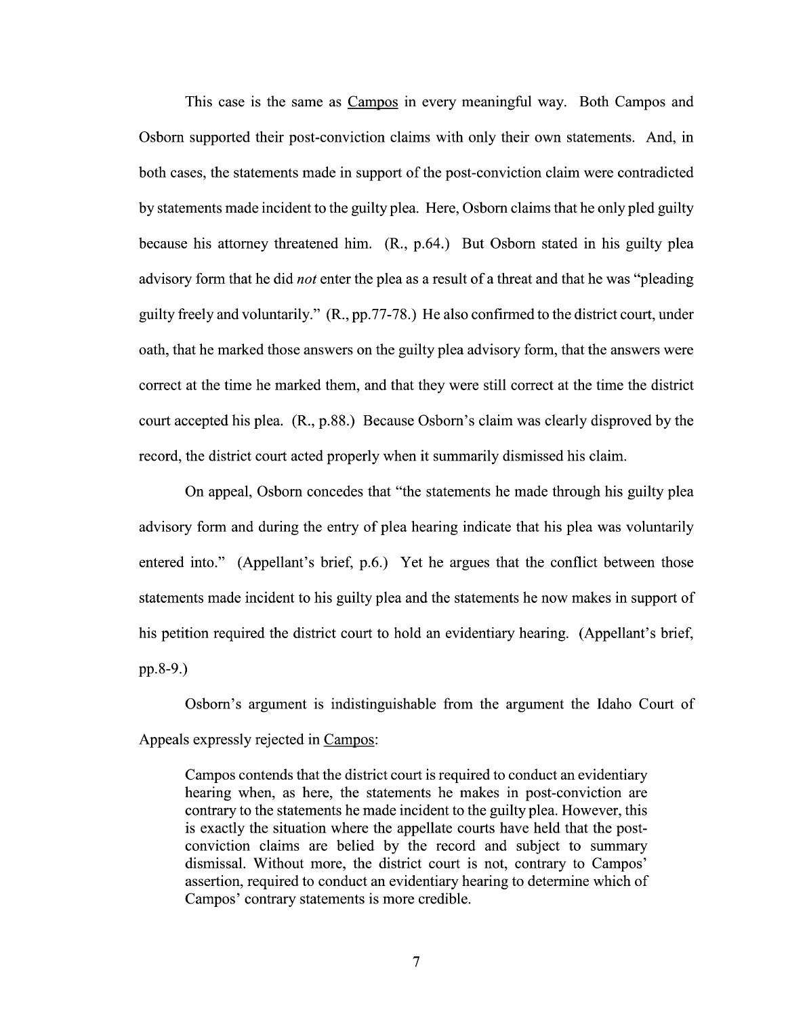This case is the same as Campos in every meaningful way. Both Campos and Osborn supported their post-conviction claims With only their own statements. And, in both cases, the statements made in support of the post-conviction claim were contradicted by statements made incident to the guilty plea. Here, Osborn claims that he only pled guilty because his attorney threatened him. (R., p.64.) But Osborn stated in his guilty plea advisory form that he did *not* enter the plea as a result of a threat and that he was "pleading" guilty freely and voluntarily." (R., pp.77-78.) He also confirmed to the district court, under oath, that he marked those answers on the guilty plea advisory form, that the answers were correct at the time he marked them, and that they were still correct at the time the district court accepted his plea. (R., p.88.) Because Osborn's claim was clearly disproved by the record, the district court acted properly When it summarily dismissed his claim.

On appeal, Osborn concedes that "the statements he made through his guilty plea advisory form and during the entry of plea hearing indicate that his plea was voluntarily entered into." (Appellant's brief, p.6.) Yet he argues that the conflict between those statements made incident to his guilty plea and the statements he now makes in support 0f his petition required the district court to hold an evidentiary hearing. (Appellant's brief, pp.8-9.)

Osborn's argument is indistinguishable from the argument the Idaho Court of Appeals expressly rejected in Campos:

Campos contends that the district court is required to conduct an evidentiary hearing when, as here, the statements he makes in post-conviction are contrary to the statements he made incident to the guilty plea. However, this is exactly the situation Where the appellate courts have held that the post conviction claims are belied by the record and subject to summary dismissal. Without more, the district court is not, contrary to Campos' assertion, required to conduct an evidentiary hearing to determine which of Campos' contrary statements is more credible.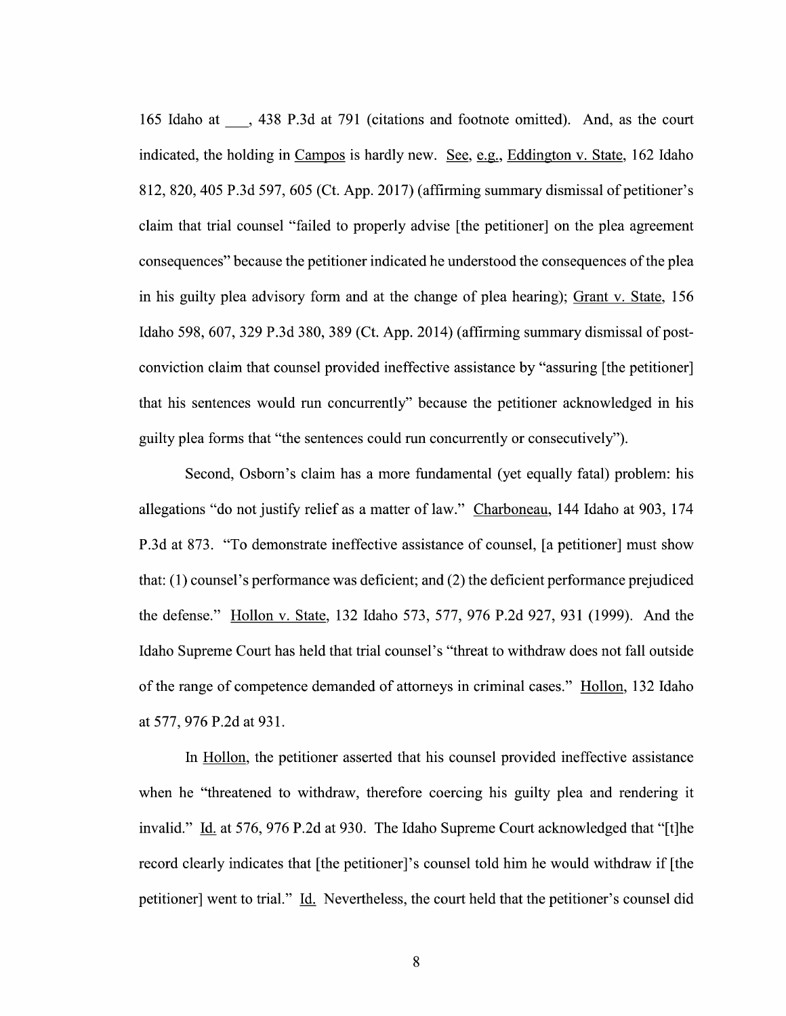165 Idaho at 438 P.3d at 791 (citations and footnote omitted). And, as the court indicated, the holding in  $Campos$  is hardly new. See, e.g., Eddington v. State, 162 Idaho 812, 820, 405 P.3d 597, 605 (Ct. App. 2017) (affirming summary dismissal of petitioner's claim that trial counsel "failed to properly advise [the petitioner] 0n the plea agreement consequences" because the petitioner indicated he understood the consequences of the plea in his guilty plea advisory form and at the change of plea hearing); Grant v. State, 156 Idaho 598, 607, 329 P.3d 380, 389 (Ct. App. 2014) (affirming summary dismissal of postconviction claim that counsel provided ineffective assistance by "assuring [the petitioner] that his sentences would run concurrently" because the petitioner acknowledged in his guilty plea forms that "the sentences could run concurrently 0r consecutively").

Second, Osborn's claim has a more fundamental (yet equally fatal) problem: his allegations "do not justify relief as a matter of law." Charboneau, 144 Idaho at 903, 174 P.3d at 873. "T0 demonstrate ineffective assistance 0f counsel, [a petitioner] must show that: (1) counsel's performance was deficient; and (2) the deficient performance prejudiced the defense." Hollon V. State, 132 Idaho 573, 577, 976 P.2d 927, 931 (1999). And the Idaho Supreme Court has held that trial counsel's "threat to Withdraw does not fall outside of the range of competence demanded of attorneys in criminal cases." Hollon, 132 Idaho at 577, 976 P.2d at 931.

In Hollon, the petitioner asserted that his counsel provided ineffective assistance when he "threatened to withdraw, therefore coercing his guilty plea and rendering it invalid." Id. at 576, 976 P.2d at 930. The Idaho Supreme Court acknowledged that "[t]he record clearly indicates that [the petitioner]'s counsel told him he would Withdraw if [the petitioner] went to trial." Li. Nevertheless, the court held that the petitioner's counsel did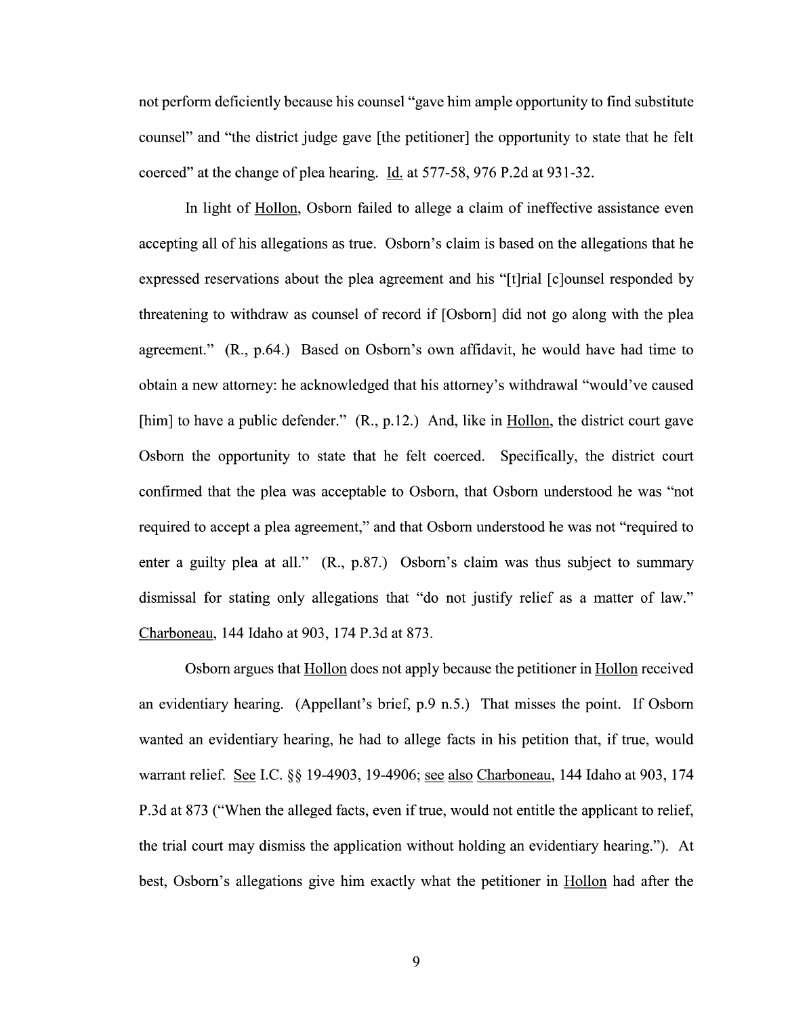not perform deficiently because his counsel "gave him ample opportunity to find substitute counsel" and "the district judge gave [the petitioner] the opportunity to state that he felt coerced" at the change of plea hearing. Id. at 577-58, 976 P.2d at 931-32.

In light of Hollon, Osborn failed to allege a claim of ineffective assistance even accepting all 0f his allegations as true. Osborn's claim is based on the allegations that he expressed reservations about the plea agreement and his "[t]rial [c]ounsel responded by threatening to withdraw as counsel of record if [Osborn] did not go along with the plea agreement."  $(R., p.64.)$  Based on Osborn's own affidavit, he would have had time to obtain a new attorney: he acknowledged that his attorney's withdrawal "would've caused [him] to have a public defender." (R., p.12.) And, like in Hollon, the district court gave Osborn the opportunity to state that he felt coerced. Specifically, the district court confirmed that the plea was acceptable to Osborn, that Osborn understood he was "not required to accept a plea agreement," and that Osborn understood he was not "required to enter a guilty plea at all."  $(R., p.87.)$  Osborn's claim was thus subject to summary dismissal for stating only allegations that "do not justify relief as a matter of law." Charboneau, 144 Idaho at 903, 174 P.3d at 873.

Osborn argues that Hollon does not apply because the petitioner in Hollon received an evidentiary hearing. (Appellant's brief, p.9 n.5,) That misses the point. If Osborn wanted an evidentiary hearing, he had to allege facts in his petition that, if true, would warrant relief. See I.C. §§ 19-4903, 19-4906; see also Charboneau, 144 Idaho at 903, 174 P.3d at 873 ("When the alleged facts, even if true, would not entitle the applicant to relief, the trial court may dismiss the application without holding an evidentiary hearing"). At best, Osborn's allegations give him exactly what the petitioner in Hollon had after the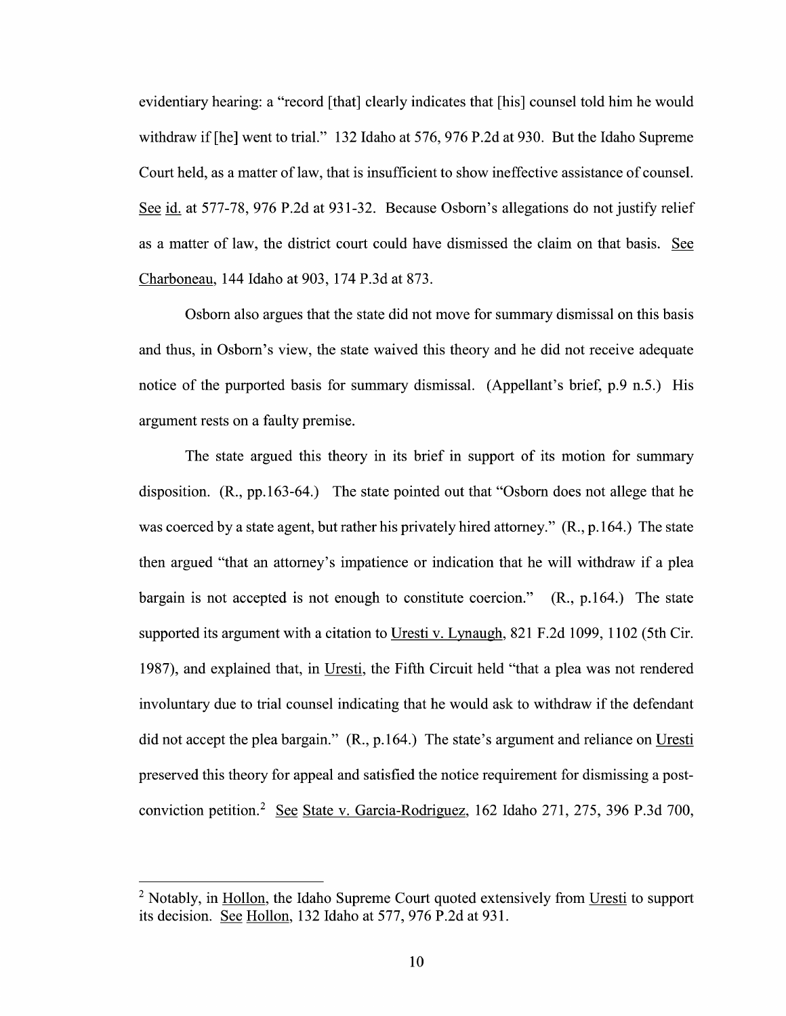evidentiary hearing: a "record [that] clearly indicates that [his] counsel told him he would withdraw if [he] went to trial." 132 Idaho at 576, 976 P.2d at 930. But the Idaho Supreme Court held, as matter 0f law, that is insufficient to show ineffective assistance of counsel. See id. at 577-78, 976 P.2d at 931-32. Because Osborn's allegations do not justify relief as a matter of law, the district court could have dismissed the claim on that basis. See Charboneau, 144 Idaho at 903, 174 P.3d at 873.

Osborn also argues that the state did not move for summary dismissal on this basis and thus, in Osborn's view, the state waived this theory and he did not receive adequate notice 0f the purported basis for summary dismissal. (Appellant's brief, p.9 n.5.) His argument rests on a faulty premise.

The state argued this theory in its brief in support of its motion for summary disposition. (R., pp.163-64.) The state pointed out that "Osborn does not allege that he was coerced by a state agent, but rather his privately hired attorney." (R., p.164.) The state then argued "that an attorney's impatience or indication that he will withdraw if a plea bargain is not accepted is not enough to constitute coercion." (R., p.164.) The state supported its argument with a citation to Uresti v. Lynaugh, 821 F.2d 1099, 1102 (5th Cir. 1987), and explained that, in Uresti, the Fifth Circuit held "that a plea was not rendered involuntary due to trial counsel indicating that he would ask to withdraw if the defendant did not accept the plea bargain."  $(R., p.164.)$  The state's argument and reliance on Uresti preserved this theory for appeal and satisfied the notice requirement for dismissing a postconviction petition.<sup>2</sup> See State v. Garcia-Rodriguez, 162 Idaho 271, 275, 396 P.3d 700,

 $<sup>2</sup>$  Notably, in Hollon, the Idaho Supreme Court quoted extensively from Uresti to support</sup> its decision. See Hollon, 132 Idaho at 577, 976 P.2d at 931.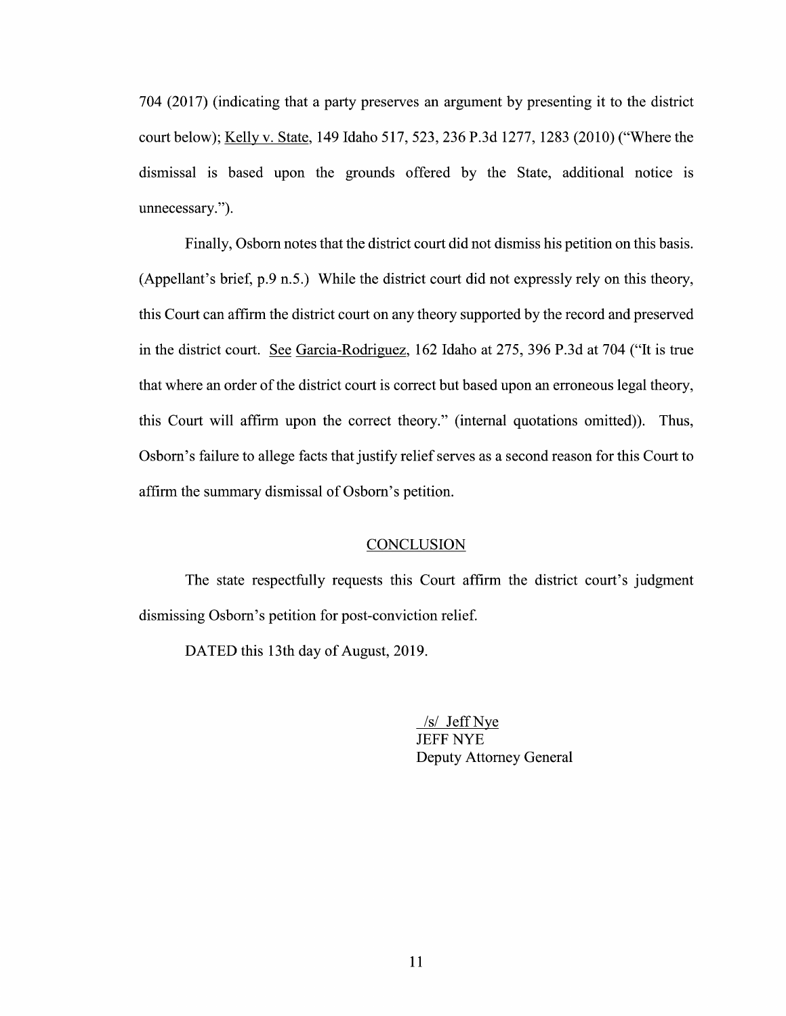704 (2017) (indicating that a party preserves an argument by presenting it to the district court below); Kelly V. State, <sup>149</sup> Idaho 517, 523, <sup>236</sup> P.3d 1277, <sup>1283</sup> (2010) ("Where the dismissal is based upon the grounds offered by the State, additional notice is unnecessary.").

Finally, Osborn notes that the district court did not dismiss his petition 0n this basis. (Appellant's brief, p.9 n.5.) While the district court did not expressly rely 0n this theory, this Court can affirm the district court on any theory supported by the record and preserved in the district court. See Garcia-Rodriguez, 162 Idaho at 275, 396 P.3d at 704 ("It is true that Where an order of the district court is correct but based upon an erroneous legal theory, this Court will affirm upon the correct theory." (internal quotations omitted)). Thus, Osborn's failure to allege facts that justify relief serves as a second reason for this Court to affirm the summary dismissal 0f Osbom's petition.

## **CONCLUSION**

The state respectfully requests this Court affirm the district court's judgment dismissing Osborn's petition for post-conviction relief.

DATED this 13th day of August, 2019.

/s/ Jeff Nye JEFF NYE Deputy Attorney General